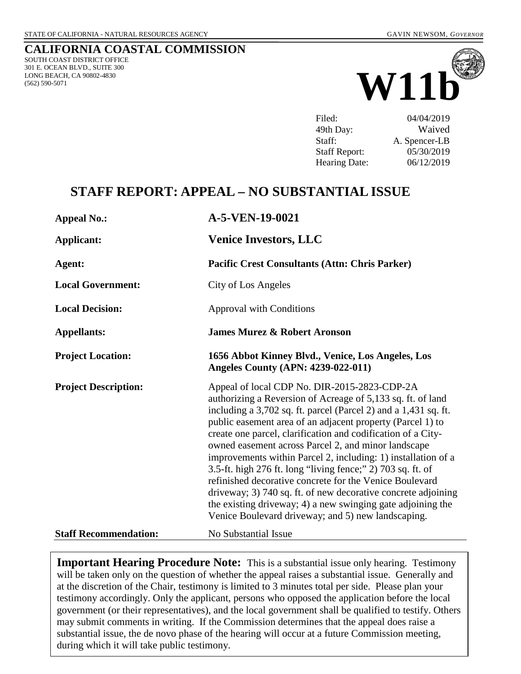#### **CALIFORNIA COASTAL COMMISSION** SOUTH COAST DISTRICT OFFICE 301 E. OCEAN BLVD., SUITE 300 LONG BEACH, CA 90802-4830 (562) 590-5071



Filed: 04/04/2019 49th Day: Waived Staff: A. Spencer-LB Staff Report: 05/30/2019 Hearing Date: 06/12/2019

# **STAFF REPORT: APPEAL – NO SUBSTANTIAL ISSUE**

| <b>Appeal No.:</b>           | A-5-VEN-19-0021                                                                                                                                                                                                                                                                                                                                                                                                                                                                                                                                                                                                                                                                                                                                      |
|------------------------------|------------------------------------------------------------------------------------------------------------------------------------------------------------------------------------------------------------------------------------------------------------------------------------------------------------------------------------------------------------------------------------------------------------------------------------------------------------------------------------------------------------------------------------------------------------------------------------------------------------------------------------------------------------------------------------------------------------------------------------------------------|
| <b>Applicant:</b>            | <b>Venice Investors, LLC</b>                                                                                                                                                                                                                                                                                                                                                                                                                                                                                                                                                                                                                                                                                                                         |
| Agent:                       | <b>Pacific Crest Consultants (Attn: Chris Parker)</b>                                                                                                                                                                                                                                                                                                                                                                                                                                                                                                                                                                                                                                                                                                |
| <b>Local Government:</b>     | City of Los Angeles                                                                                                                                                                                                                                                                                                                                                                                                                                                                                                                                                                                                                                                                                                                                  |
| <b>Local Decision:</b>       | <b>Approval with Conditions</b>                                                                                                                                                                                                                                                                                                                                                                                                                                                                                                                                                                                                                                                                                                                      |
| <b>Appellants:</b>           | <b>James Murez &amp; Robert Aronson</b>                                                                                                                                                                                                                                                                                                                                                                                                                                                                                                                                                                                                                                                                                                              |
| <b>Project Location:</b>     | 1656 Abbot Kinney Blvd., Venice, Los Angeles, Los<br><b>Angeles County (APN: 4239-022-011)</b>                                                                                                                                                                                                                                                                                                                                                                                                                                                                                                                                                                                                                                                       |
| <b>Project Description:</b>  | Appeal of local CDP No. DIR-2015-2823-CDP-2A<br>authorizing a Reversion of Acreage of 5,133 sq. ft. of land<br>including a 3,702 sq. ft. parcel (Parcel 2) and a 1,431 sq. ft.<br>public easement area of an adjacent property (Parcel 1) to<br>create one parcel, clarification and codification of a City-<br>owned easement across Parcel 2, and minor landscape<br>improvements within Parcel 2, including: 1) installation of a<br>3.5-ft. high 276 ft. long "living fence;" 2) 703 sq. ft. of<br>refinished decorative concrete for the Venice Boulevard<br>driveway; 3) 740 sq. ft. of new decorative concrete adjoining<br>the existing driveway; 4) a new swinging gate adjoining the<br>Venice Boulevard driveway; and 5) new landscaping. |
| <b>Staff Recommendation:</b> | No Substantial Issue                                                                                                                                                                                                                                                                                                                                                                                                                                                                                                                                                                                                                                                                                                                                 |

**Important Hearing Procedure Note:** This is a substantial issue only hearing. Testimony will be taken only on the question of whether the appeal raises a substantial issue. Generally and at the discretion of the Chair, testimony is limited to 3 minutes total per side. Please plan your testimony accordingly. Only the applicant, persons who opposed the application before the local government (or their representatives), and the local government shall be qualified to testify. Others may submit comments in writing. If the Commission determines that the appeal does raise a substantial issue, the de novo phase of the hearing will occur at a future Commission meeting, during which it will take public testimony.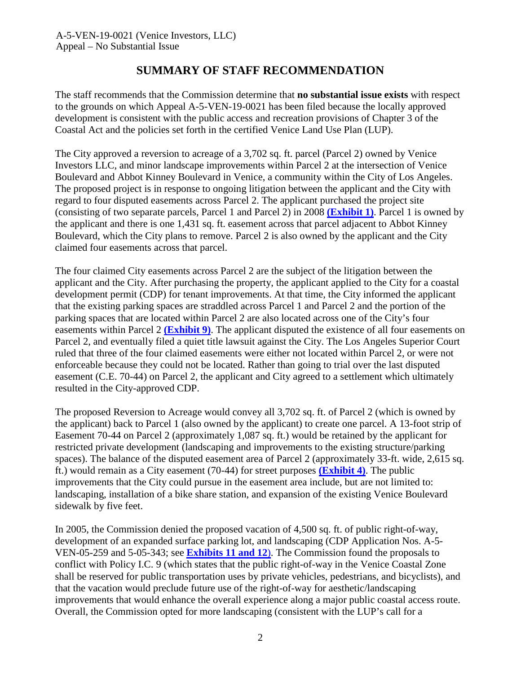### **SUMMARY OF STAFF RECOMMENDATION**

<span id="page-1-0"></span>The staff recommends that the Commission determine that **no substantial issue exists** with respect to the grounds on which Appeal A-5-VEN-19-0021 has been filed because the locally approved development is consistent with the public access and recreation provisions of Chapter 3 of the Coastal Act and the policies set forth in the certified Venice Land Use Plan (LUP).

The City approved a reversion to acreage of a 3,702 sq. ft. parcel (Parcel 2) owned by Venice Investors LLC, and minor landscape improvements within Parcel 2 at the intersection of Venice Boulevard and Abbot Kinney Boulevard in Venice, a community within the City of Los Angeles. The proposed project is in response to ongoing litigation between the applicant and the City with regard to four disputed easements across Parcel 2. The applicant purchased the project site (consisting of two separate parcels, Parcel 1 and Parcel 2) in 2008 **[\(Exhibit 1\)](https://documents.coastal.ca.gov/reports/2019/6/w11b/w11b-6-2019-exhibits.pdf)**. Parcel 1 is owned by the applicant and there is one 1,431 sq. ft. easement across that parcel adjacent to Abbot Kinney Boulevard, which the City plans to remove. Parcel 2 is also owned by the applicant and the City claimed four easements across that parcel.

The four claimed City easements across Parcel 2 are the subject of the litigation between the applicant and the City. After purchasing the property, the applicant applied to the City for a coastal development permit (CDP) for tenant improvements. At that time, the City informed the applicant that the existing parking spaces are straddled across Parcel 1 and Parcel 2 and the portion of the parking spaces that are located within Parcel 2 are also located across one of the City's four easements within Parcel 2 **[\(Exhibit 9\)](https://documents.coastal.ca.gov/reports/2019/6/w11b/w11b-6-2019-exhibits.pdf)**. The applicant disputed the existence of all four easements on Parcel 2, and eventually filed a quiet title lawsuit against the City. The Los Angeles Superior Court ruled that three of the four claimed easements were either not located within Parcel 2, or were not enforceable because they could not be located. Rather than going to trial over the last disputed easement (C.E. 70-44) on Parcel 2, the applicant and City agreed to a settlement which ultimately resulted in the City-approved CDP.

The proposed Reversion to Acreage would convey all 3,702 sq. ft. of Parcel 2 (which is owned by the applicant) back to Parcel 1 (also owned by the applicant) to create one parcel. A 13-foot strip of Easement 70-44 on Parcel 2 (approximately 1,087 sq. ft.) would be retained by the applicant for restricted private development (landscaping and improvements to the existing structure/parking spaces). The balance of the disputed easement area of Parcel 2 (approximately 33-ft. wide, 2,615 sq. ft.) would remain as a City easement (70-44) for street purposes **[\(Exhibit 4\)](https://documents.coastal.ca.gov/reports/2019/6/w11b/w11b-6-2019-exhibits.pdf)**. The public improvements that the City could pursue in the easement area include, but are not limited to: landscaping, installation of a bike share station, and expansion of the existing Venice Boulevard sidewalk by five feet.

In 2005, the Commission denied the proposed vacation of 4,500 sq. ft. of public right-of-way, development of an expanded surface parking lot, and landscaping (CDP Application Nos. A-5- VEN-05-259 and 5-05-343; see **[Exhibits 11 and 12](https://documents.coastal.ca.gov/reports/2019/6/w11b/w11b-6-2019-exhibits.pdf)**). The Commission found the proposals to conflict with Policy I.C. 9 (which states that the public right-of-way in the Venice Coastal Zone shall be reserved for public transportation uses by private vehicles, pedestrians, and bicyclists), and that the vacation would preclude future use of the right-of-way for aesthetic/landscaping improvements that would enhance the overall experience along a major public coastal access route. Overall, the Commission opted for more landscaping (consistent with the LUP's call for a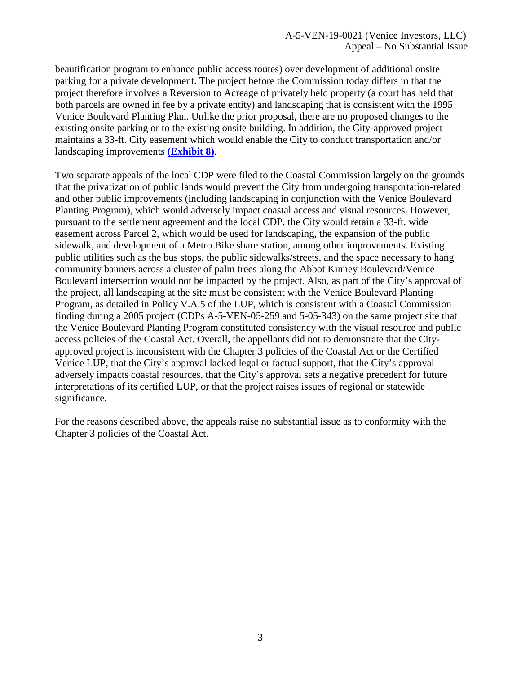beautification program to enhance public access routes) over development of additional onsite parking for a private development. The project before the Commission today differs in that the project therefore involves a Reversion to Acreage of privately held property (a court has held that both parcels are owned in fee by a private entity) and landscaping that is consistent with the 1995 Venice Boulevard Planting Plan. Unlike the prior proposal, there are no proposed changes to the existing onsite parking or to the existing onsite building. In addition, the City-approved project maintains a 33-ft. City easement which would enable the City to conduct transportation and/or landscaping improvements **[\(Exhibit 8\)](https://documents.coastal.ca.gov/reports/2019/6/w11b/w11b-6-2019-exhibits.pdf)**.

Two separate appeals of the local CDP were filed to the Coastal Commission largely on the grounds that the privatization of public lands would prevent the City from undergoing transportation-related and other public improvements (including landscaping in conjunction with the Venice Boulevard Planting Program), which would adversely impact coastal access and visual resources. However, pursuant to the settlement agreement and the local CDP, the City would retain a 33-ft. wide easement across Parcel 2, which would be used for landscaping, the expansion of the public sidewalk, and development of a Metro Bike share station, among other improvements. Existing public utilities such as the bus stops, the public sidewalks/streets, and the space necessary to hang community banners across a cluster of palm trees along the Abbot Kinney Boulevard/Venice Boulevard intersection would not be impacted by the project. Also, as part of the City's approval of the project, all landscaping at the site must be consistent with the Venice Boulevard Planting Program, as detailed in Policy V.A.5 of the LUP, which is consistent with a Coastal Commission finding during a 2005 project (CDPs A-5-VEN-05-259 and 5-05-343) on the same project site that the Venice Boulevard Planting Program constituted consistency with the visual resource and public access policies of the Coastal Act. Overall, the appellants did not to demonstrate that the Cityapproved project is inconsistent with the Chapter 3 policies of the Coastal Act or the Certified Venice LUP, that the City's approval lacked legal or factual support, that the City's approval adversely impacts coastal resources, that the City's approval sets a negative precedent for future interpretations of its certified LUP, or that the project raises issues of regional or statewide significance.

For the reasons described above, the appeals raise no substantial issue as to conformity with the Chapter 3 policies of the Coastal Act.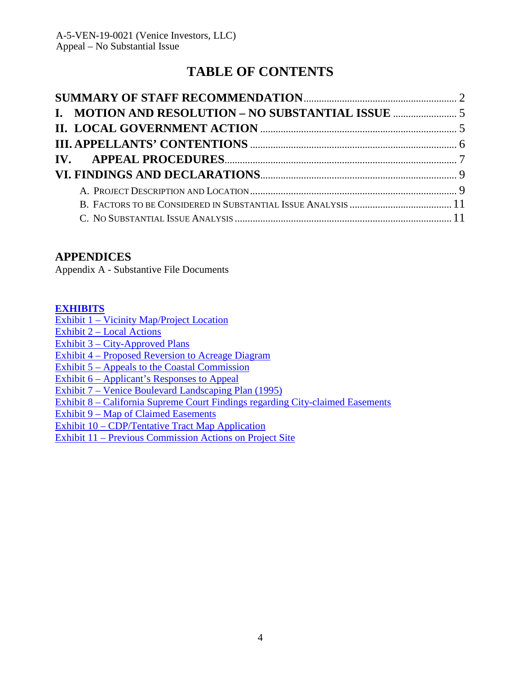# **TABLE OF CONTENTS**

### **APPENDICES**

Appendix A - Substantive File Documents

### **[EXHIBITS](https://documents.coastal.ca.gov/reports/2019/6/w11b/w11b-6-2019-exhibits.pdf)**

Exhibit 1 – [Vicinity Map/Project](https://documents.coastal.ca.gov/reports/2019/6/w11b/w11b-6-2019-exhibits.pdf) Location

Exhibit 2 – [Local Actions](https://documents.coastal.ca.gov/reports/2019/6/w11b/w11b-6-2019-exhibits.pdf)

Exhibit 3 – [City-Approved Plans](https://documents.coastal.ca.gov/reports/2019/6/w11b/w11b-6-2019-exhibits.pdf)

Exhibit 4 – [Proposed Reversion to Acreage Diagram](https://documents.coastal.ca.gov/reports/2019/6/w11b/w11b-6-2019-exhibits.pdf)

Exhibit 5 – [Appeals to the Coastal Commission](https://documents.coastal.ca.gov/reports/2019/6/w11b/w11b-6-2019-exhibits.pdf)

Exhibit 6 – [Applicant's Responses](https://documents.coastal.ca.gov/reports/2019/6/w11b/w11b-6-2019-exhibits.pdf) to Appeal

Exhibit 7 – Venice Boulevard [Landscaping Plan](https://documents.coastal.ca.gov/reports/2019/6/w11b/w11b-6-2019-exhibits.pdf) (1995)

Exhibit 8 – [California Supreme Court Findings regarding City-claimed Easements](https://documents.coastal.ca.gov/reports/2019/6/w11b/w11b-6-2019-exhibits.pdf)

Exhibit 9 – [Map of Claimed Easements](https://documents.coastal.ca.gov/reports/2019/6/w11b/w11b-6-2019-exhibits.pdf)

Exhibit 10 – [CDP/Tentative Tract Map Application](https://documents.coastal.ca.gov/reports/2019/6/w11b/w11b-6-2019-exhibits.pdf)

Exhibit 11 – [Previous Commission Actions](https://documents.coastal.ca.gov/reports/2019/6/w11b/w11b-6-2019-exhibits.pdf) on Project Site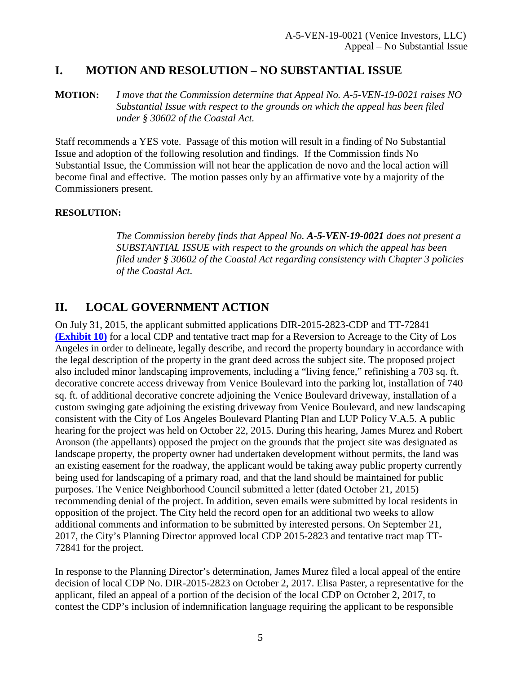# <span id="page-4-0"></span>**I. MOTION AND RESOLUTION – NO SUBSTANTIAL ISSUE**

**MOTION:** *I move that the Commission determine that Appeal No. A-5-VEN-19-0021 raises NO Substantial Issue with respect to the grounds on which the appeal has been filed under § 30602 of the Coastal Act.*

Staff recommends a YES vote. Passage of this motion will result in a finding of No Substantial Issue and adoption of the following resolution and findings. If the Commission finds No Substantial Issue, the Commission will not hear the application de novo and the local action will become final and effective. The motion passes only by an affirmative vote by a majority of the Commissioners present.

#### **RESOLUTION:**

*The Commission hereby finds that Appeal No. A-5-VEN-19-0021 does not present a SUBSTANTIAL ISSUE with respect to the grounds on which the appeal has been filed under § 30602 of the Coastal Act regarding consistency with Chapter 3 policies of the Coastal Act*.

# <span id="page-4-1"></span>**II. LOCAL GOVERNMENT ACTION**

On July 31, 2015, the applicant submitted applications DIR-2015-2823-CDP and TT-72841 **[\(Exhibit 10\)](https://documents.coastal.ca.gov/reports/2019/6/w11b/w11b-6-2019-exhibits.pdf)** for a local CDP and tentative tract map for a Reversion to Acreage to the City of Los Angeles in order to delineate, legally describe, and record the property boundary in accordance with the legal description of the property in the grant deed across the subject site. The proposed project also included minor landscaping improvements, including a "living fence," refinishing a 703 sq. ft. decorative concrete access driveway from Venice Boulevard into the parking lot, installation of 740 sq. ft. of additional decorative concrete adjoining the Venice Boulevard driveway, installation of a custom swinging gate adjoining the existing driveway from Venice Boulevard, and new landscaping consistent with the City of Los Angeles Boulevard Planting Plan and LUP Policy V.A.5. A public hearing for the project was held on October 22, 2015. During this hearing, James Murez and Robert Aronson (the appellants) opposed the project on the grounds that the project site was designated as landscape property, the property owner had undertaken development without permits, the land was an existing easement for the roadway, the applicant would be taking away public property currently being used for landscaping of a primary road, and that the land should be maintained for public purposes. The Venice Neighborhood Council submitted a letter (dated October 21, 2015) recommending denial of the project. In addition, seven emails were submitted by local residents in opposition of the project. The City held the record open for an additional two weeks to allow additional comments and information to be submitted by interested persons. On September 21, 2017, the City's Planning Director approved local CDP 2015-2823 and tentative tract map TT-72841 for the project.

In response to the Planning Director's determination, James Murez filed a local appeal of the entire decision of local CDP No. DIR-2015-2823 on October 2, 2017. Elisa Paster, a representative for the applicant, filed an appeal of a portion of the decision of the local CDP on October 2, 2017, to contest the CDP's inclusion of indemnification language requiring the applicant to be responsible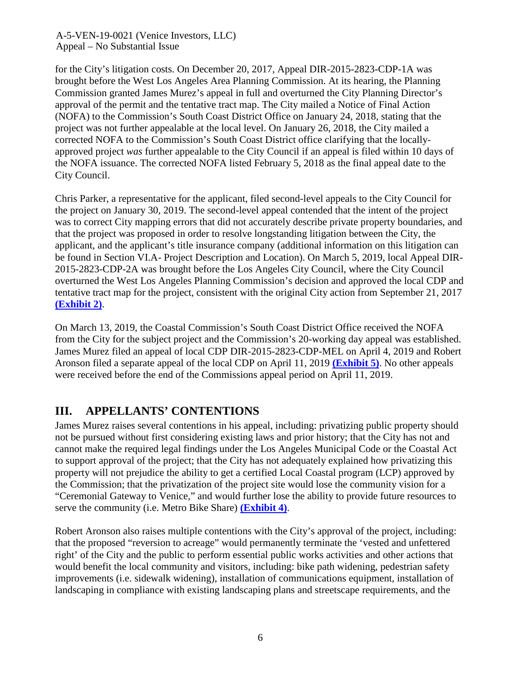for the City's litigation costs. On December 20, 2017, Appeal DIR-2015-2823-CDP-1A was brought before the West Los Angeles Area Planning Commission. At its hearing, the Planning Commission granted James Murez's appeal in full and overturned the City Planning Director's approval of the permit and the tentative tract map. The City mailed a Notice of Final Action (NOFA) to the Commission's South Coast District Office on January 24, 2018, stating that the project was not further appealable at the local level. On January 26, 2018, the City mailed a corrected NOFA to the Commission's South Coast District office clarifying that the locallyapproved project *was* further appealable to the City Council if an appeal is filed within 10 days of the NOFA issuance. The corrected NOFA listed February 5, 2018 as the final appeal date to the City Council.

Chris Parker, a representative for the applicant, filed second-level appeals to the City Council for the project on January 30, 2019. The second-level appeal contended that the intent of the project was to correct City mapping errors that did not accurately describe private property boundaries, and that the project was proposed in order to resolve longstanding litigation between the City, the applicant, and the applicant's title insurance company (additional information on this litigation can be found in Section VI.A- Project Description and Location). On March 5, 2019, local Appeal DIR-2015-2823-CDP-2A was brought before the Los Angeles City Council, where the City Council overturned the West Los Angeles Planning Commission's decision and approved the local CDP and tentative tract map for the project, consistent with the original City action from September 21, 2017 **[\(Exhibit 2\)](https://documents.coastal.ca.gov/reports/2019/6/w11b/w11b-6-2019-exhibits.pdf)**.

On March 13, 2019, the Coastal Commission's South Coast District Office received the NOFA from the City for the subject project and the Commission's 20-working day appeal was established. James Murez filed an appeal of local CDP DIR-2015-2823-CDP-MEL on April 4, 2019 and Robert Aronson filed a separate appeal of the local CDP on April 11, 2019 **[\(Exhibit 5\)](https://documents.coastal.ca.gov/reports/2019/6/w11b/w11b-6-2019-exhibits.pdf)**. No other appeals were received before the end of the Commissions appeal period on April 11, 2019.

# <span id="page-5-0"></span>**III. APPELLANTS' CONTENTIONS**

James Murez raises several contentions in his appeal, including: privatizing public property should not be pursued without first considering existing laws and prior history; that the City has not and cannot make the required legal findings under the Los Angeles Municipal Code or the Coastal Act to support approval of the project; that the City has not adequately explained how privatizing this property will not prejudice the ability to get a certified Local Coastal program (LCP) approved by the Commission; that the privatization of the project site would lose the community vision for a "Ceremonial Gateway to Venice," and would further lose the ability to provide future resources to serve the community (i.e. Metro Bike Share) **[\(Exhibit 4\)](https://documents.coastal.ca.gov/reports/2019/6/w11b/w11b-6-2019-exhibits.pdf)**.

Robert Aronson also raises multiple contentions with the City's approval of the project, including: that the proposed "reversion to acreage" would permanently terminate the 'vested and unfettered right' of the City and the public to perform essential public works activities and other actions that would benefit the local community and visitors, including: bike path widening, pedestrian safety improvements (i.e. sidewalk widening), installation of communications equipment, installation of landscaping in compliance with existing landscaping plans and streetscape requirements, and the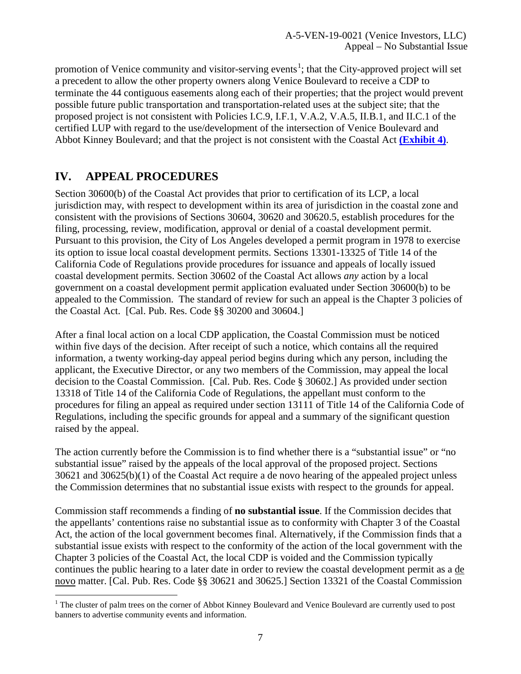promotion of Venice community and visitor-serving events<sup>[1](#page-6-1)</sup>; that the City-approved project will set a precedent to allow the other property owners along Venice Boulevard to receive a CDP to terminate the 44 contiguous easements along each of their properties; that the project would prevent possible future public transportation and transportation-related uses at the subject site; that the proposed project is not consistent with Policies I.C.9, I.F.1, V.A.2, V.A.5, II.B.1, and II.C.1 of the certified LUP with regard to the use/development of the intersection of Venice Boulevard and Abbot Kinney Boulevard; and that the project is not consistent with the Coastal Act **[\(Exhibit 4\)](https://documents.coastal.ca.gov/reports/2019/6/w11b/w11b-6-2019-exhibits.pdf)**.

# <span id="page-6-0"></span>**IV. APPEAL PROCEDURES**

Section 30600(b) of the Coastal Act provides that prior to certification of its LCP, a local jurisdiction may, with respect to development within its area of jurisdiction in the coastal zone and consistent with the provisions of Sections 30604, 30620 and 30620.5, establish procedures for the filing, processing, review, modification, approval or denial of a coastal development permit. Pursuant to this provision, the City of Los Angeles developed a permit program in 1978 to exercise its option to issue local coastal development permits. Sections 13301-13325 of Title 14 of the California Code of Regulations provide procedures for issuance and appeals of locally issued coastal development permits. Section 30602 of the Coastal Act allows *any* action by a local government on a coastal development permit application evaluated under Section 30600(b) to be appealed to the Commission. The standard of review for such an appeal is the Chapter 3 policies of the Coastal Act. [Cal. Pub. Res. Code §§ 30200 and 30604.]

After a final local action on a local CDP application, the Coastal Commission must be noticed within five days of the decision. After receipt of such a notice, which contains all the required information, a twenty working-day appeal period begins during which any person, including the applicant, the Executive Director, or any two members of the Commission, may appeal the local decision to the Coastal Commission. [Cal. Pub. Res. Code § 30602.] As provided under section 13318 of Title 14 of the California Code of Regulations, the appellant must conform to the procedures for filing an appeal as required under section 13111 of Title 14 of the California Code of Regulations, including the specific grounds for appeal and a summary of the significant question raised by the appeal.

The action currently before the Commission is to find whether there is a "substantial issue" or "no substantial issue" raised by the appeals of the local approval of the proposed project. Sections 30621 and 30625(b)(1) of the Coastal Act require a de novo hearing of the appealed project unless the Commission determines that no substantial issue exists with respect to the grounds for appeal.

Commission staff recommends a finding of **no substantial issue**. If the Commission decides that the appellants' contentions raise no substantial issue as to conformity with Chapter 3 of the Coastal Act, the action of the local government becomes final. Alternatively, if the Commission finds that a substantial issue exists with respect to the conformity of the action of the local government with the Chapter 3 policies of the Coastal Act, the local CDP is voided and the Commission typically continues the public hearing to a later date in order to review the coastal development permit as a de novo matter. [Cal. Pub. Res. Code §§ 30621 and 30625.] Section 13321 of the Coastal Commission

<span id="page-6-1"></span> $1$  The cluster of palm trees on the corner of Abbot Kinney Boulevard and Venice Boulevard are currently used to post banners to advertise community events and information.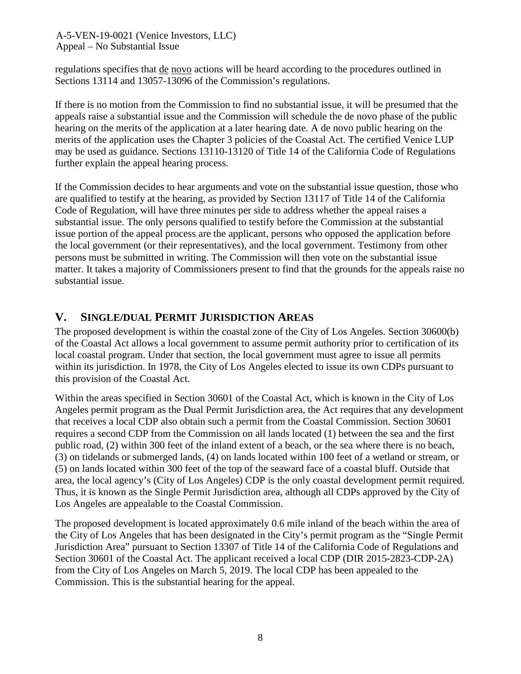regulations specifies that de novo actions will be heard according to the procedures outlined in Sections 13114 and 13057-13096 of the Commission's regulations.

If there is no motion from the Commission to find no substantial issue, it will be presumed that the appeals raise a substantial issue and the Commission will schedule the de novo phase of the public hearing on the merits of the application at a later hearing date. A de novo public hearing on the merits of the application uses the Chapter 3 policies of the Coastal Act. The certified Venice LUP may be used as guidance. Sections 13110-13120 of Title 14 of the California Code of Regulations further explain the appeal hearing process.

If the Commission decides to hear arguments and vote on the substantial issue question, those who are qualified to testify at the hearing, as provided by Section 13117 of Title 14 of the California Code of Regulation, will have three minutes per side to address whether the appeal raises a substantial issue. The only persons qualified to testify before the Commission at the substantial issue portion of the appeal process are the applicant, persons who opposed the application before the local government (or their representatives), and the local government. Testimony from other persons must be submitted in writing. The Commission will then vote on the substantial issue matter. It takes a majority of Commissioners present to find that the grounds for the appeals raise no substantial issue.

### **V. SINGLE/DUAL PERMIT JURISDICTION AREAS**

The proposed development is within the coastal zone of the City of Los Angeles. Section 30600(b) of the Coastal Act allows a local government to assume permit authority prior to certification of its local coastal program. Under that section, the local government must agree to issue all permits within its jurisdiction. In 1978, the City of Los Angeles elected to issue its own CDPs pursuant to this provision of the Coastal Act.

Within the areas specified in Section 30601 of the Coastal Act, which is known in the City of Los Angeles permit program as the Dual Permit Jurisdiction area, the Act requires that any development that receives a local CDP also obtain such a permit from the Coastal Commission. Section 30601 requires a second CDP from the Commission on all lands located (1) between the sea and the first public road, (2) within 300 feet of the inland extent of a beach, or the sea where there is no beach, (3) on tidelands or submerged lands, (4) on lands located within 100 feet of a wetland or stream, or (5) on lands located within 300 feet of the top of the seaward face of a coastal bluff. Outside that area, the local agency's (City of Los Angeles) CDP is the only coastal development permit required. Thus, it is known as the Single Permit Jurisdiction area, although all CDPs approved by the City of Los Angeles are appealable to the Coastal Commission.

The proposed development is located approximately 0.6 mile inland of the beach within the area of the City of Los Angeles that has been designated in the City's permit program as the "Single Permit Jurisdiction Area" pursuant to Section 13307 of Title 14 of the California Code of Regulations and Section 30601 of the Coastal Act. The applicant received a local CDP (DIR 2015-2823-CDP-2A) from the City of Los Angeles on March 5, 2019. The local CDP has been appealed to the Commission. This is the substantial hearing for the appeal.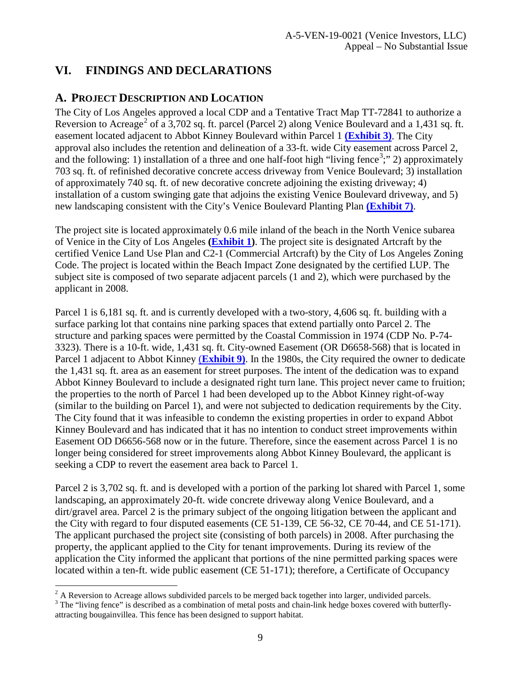# <span id="page-8-0"></span>**VI. FINDINGS AND DECLARATIONS**

# <span id="page-8-1"></span>**A. PROJECT DESCRIPTION AND LOCATION**

The City of Los Angeles approved a local CDP and a Tentative Tract Map TT-72841 to authorize a Reversion to Acreage<sup>[2](#page-8-2)</sup> of a 3,702 sq. ft. parcel (Parcel 2) along Venice Boulevard and a 1,431 sq. ft. easement located adjacent to Abbot Kinney Boulevard within Parcel 1 **[\(Exhibit 3\)](https://documents.coastal.ca.gov/reports/2019/6/w11b/w11b-6-2019-exhibits.pdf)**. The City approval also includes the retention and delineation of a 33-ft. wide City easement across Parcel 2, and the following: 1) installation of a three and one half-foot high "living fence<sup>[3](#page-8-3)</sup>;" 2) approximately 703 sq. ft. of refinished decorative concrete access driveway from Venice Boulevard; 3) installation of approximately 740 sq. ft. of new decorative concrete adjoining the existing driveway; 4) installation of a custom swinging gate that adjoins the existing Venice Boulevard driveway, and 5) new landscaping consistent with the City's Venice Boulevard Planting Plan **[\(Exhibit 7\)](https://documents.coastal.ca.gov/reports/2019/6/w11b/w11b-6-2019-exhibits.pdf)**.

The project site is located approximately 0.6 mile inland of the beach in the North Venice subarea of Venice in the City of Los Angeles **[\(Exhibit 1\)](https://documents.coastal.ca.gov/reports/2017/7/W15b/W15b-7-2017-exhibits.pdf)**. The project site is designated Artcraft by the certified Venice Land Use Plan and C2-1 (Commercial Artcraft) by the City of Los Angeles Zoning Code. The project is located within the Beach Impact Zone designated by the certified LUP. The subject site is composed of two separate adjacent parcels (1 and 2), which were purchased by the applicant in 2008.

Parcel 1 is 6,181 sq. ft. and is currently developed with a two-story, 4,606 sq. ft. building with a surface parking lot that contains nine parking spaces that extend partially onto Parcel 2. The structure and parking spaces were permitted by the Coastal Commission in 1974 (CDP No. P-74- 3323). There is a 10-ft. wide, 1,431 sq. ft. City-owned Easement (OR D6658-568) that is located in Parcel 1 adjacent to Abbot Kinney (**[Exhibit 9\)](https://documents.coastal.ca.gov/reports/2019/6/w11b/w11b-6-2019-exhibits.pdf)**. In the 1980s, the City required the owner to dedicate the 1,431 sq. ft. area as an easement for street purposes. The intent of the dedication was to expand Abbot Kinney Boulevard to include a designated right turn lane. This project never came to fruition; the properties to the north of Parcel 1 had been developed up to the Abbot Kinney right-of-way (similar to the building on Parcel 1), and were not subjected to dedication requirements by the City. The City found that it was infeasible to condemn the existing properties in order to expand Abbot Kinney Boulevard and has indicated that it has no intention to conduct street improvements within Easement OD D6656-568 now or in the future. Therefore, since the easement across Parcel 1 is no longer being considered for street improvements along Abbot Kinney Boulevard, the applicant is seeking a CDP to revert the easement area back to Parcel 1.

Parcel 2 is 3,702 sq. ft. and is developed with a portion of the parking lot shared with Parcel 1, some landscaping, an approximately 20-ft. wide concrete driveway along Venice Boulevard, and a dirt/gravel area. Parcel 2 is the primary subject of the ongoing litigation between the applicant and the City with regard to four disputed easements (CE 51-139, CE 56-32, CE 70-44, and CE 51-171). The applicant purchased the project site (consisting of both parcels) in 2008. After purchasing the property, the applicant applied to the City for tenant improvements. During its review of the application the City informed the applicant that portions of the nine permitted parking spaces were located within a ten-ft. wide public easement (CE 51-171); therefore, a Certificate of Occupancy

<span id="page-8-3"></span><sup>3</sup> The "living fence" is described as a combination of metal posts and chain-link hedge boxes covered with butterflyattracting bougainvillea. This fence has been designed to support habitat.

<span id="page-8-2"></span> $^{2}$  A Reversion to Acreage allows subdivided parcels to be merged back together into larger, undivided parcels.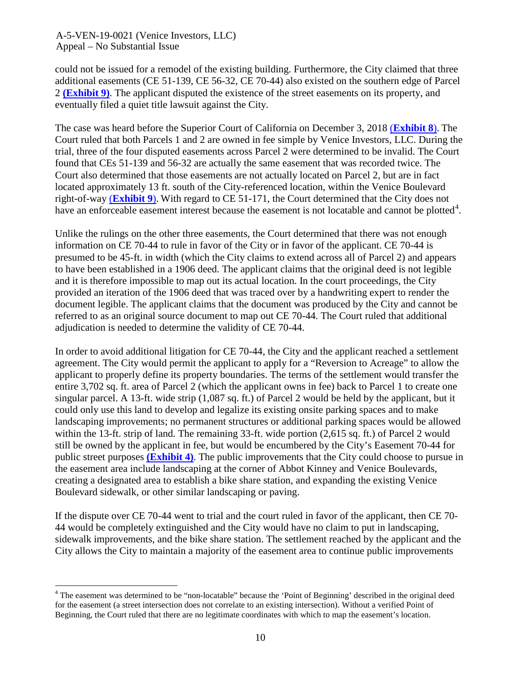could not be issued for a remodel of the existing building. Furthermore, the City claimed that three additional easements (CE 51-139, CE 56-32, CE 70-44) also existed on the southern edge of Parcel 2 **[\(Exhibit 9\)](https://documents.coastal.ca.gov/reports/2019/6/w11b/w11b-6-2019-exhibits.pdf)**. The applicant disputed the existence of the street easements on its property, and eventually filed a quiet title lawsuit against the City.

The case was heard before the Superior Court of California on December 3, 2018 (**[Exhibit 8](https://documents.coastal.ca.gov/reports/2019/6/w11b/w11b-6-2019-exhibits.pdf)**). The Court ruled that both Parcels 1 and 2 are owned in fee simple by Venice Investors, LLC. During the trial, three of the four disputed easements across Parcel 2 were determined to be invalid. The Court found that CEs 51-139 and 56-32 are actually the same easement that was recorded twice. The Court also determined that those easements are not actually located on Parcel 2, but are in fact located approximately 13 ft. south of the City-referenced location, within the Venice Boulevard right-of-way (**[Exhibit 9](https://documents.coastal.ca.gov/reports/2019/6/w11b/w11b-6-2019-exhibits.pdf)**). With regard to CE 51-171, the Court determined that the City does not have an enforceable easement interest because the easement is not locatable and cannot be plotted<sup>[4](#page-9-0)</sup>.

Unlike the rulings on the other three easements, the Court determined that there was not enough information on CE 70-44 to rule in favor of the City or in favor of the applicant. CE 70-44 is presumed to be 45-ft. in width (which the City claims to extend across all of Parcel 2) and appears to have been established in a 1906 deed. The applicant claims that the original deed is not legible and it is therefore impossible to map out its actual location. In the court proceedings, the City provided an iteration of the 1906 deed that was traced over by a handwriting expert to render the document legible. The applicant claims that the document was produced by the City and cannot be referred to as an original source document to map out CE 70-44. The Court ruled that additional adjudication is needed to determine the validity of CE 70-44.

In order to avoid additional litigation for CE 70-44, the City and the applicant reached a settlement agreement. The City would permit the applicant to apply for a "Reversion to Acreage" to allow the applicant to properly define its property boundaries. The terms of the settlement would transfer the entire 3,702 sq. ft. area of Parcel 2 (which the applicant owns in fee) back to Parcel 1 to create one singular parcel. A 13-ft. wide strip (1,087 sq. ft.) of Parcel 2 would be held by the applicant, but it could only use this land to develop and legalize its existing onsite parking spaces and to make landscaping improvements; no permanent structures or additional parking spaces would be allowed within the 13-ft. strip of land. The remaining 33-ft. wide portion (2,615 sq. ft.) of Parcel 2 would still be owned by the applicant in fee, but would be encumbered by the City's Easement 70-44 for public street purposes **[\(Exhibit 4\)](https://documents.coastal.ca.gov/reports/2019/6/w11b/w11b-6-2019-exhibits.pdf)**. The public improvements that the City could choose to pursue in the easement area include landscaping at the corner of Abbot Kinney and Venice Boulevards, creating a designated area to establish a bike share station, and expanding the existing Venice Boulevard sidewalk, or other similar landscaping or paving.

If the dispute over CE 70-44 went to trial and the court ruled in favor of the applicant, then CE 70- 44 would be completely extinguished and the City would have no claim to put in landscaping, sidewalk improvements, and the bike share station. The settlement reached by the applicant and the City allows the City to maintain a majority of the easement area to continue public improvements

<span id="page-9-0"></span><sup>&</sup>lt;sup>4</sup> The easement was determined to be "non-locatable" because the 'Point of Beginning' described in the original deed for the easement (a street intersection does not correlate to an existing intersection). Without a verified Point of Beginning, the Court ruled that there are no legitimate coordinates with which to map the easement's location.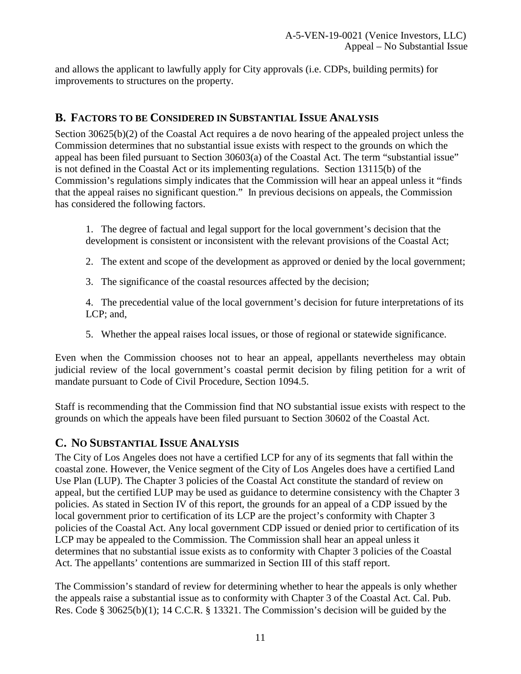and allows the applicant to lawfully apply for City approvals (i.e. CDPs, building permits) for improvements to structures on the property.

### <span id="page-10-0"></span>**B. FACTORS TO BE CONSIDERED IN SUBSTANTIAL ISSUE ANALYSIS**

Section 30625(b)(2) of the Coastal Act requires a de novo hearing of the appealed project unless the Commission determines that no substantial issue exists with respect to the grounds on which the appeal has been filed pursuant to Section 30603(a) of the Coastal Act. The term "substantial issue" is not defined in the Coastal Act or its implementing regulations. Section 13115(b) of the Commission's regulations simply indicates that the Commission will hear an appeal unless it "finds that the appeal raises no significant question." In previous decisions on appeals, the Commission has considered the following factors.

1. The degree of factual and legal support for the local government's decision that the development is consistent or inconsistent with the relevant provisions of the Coastal Act;

- 2. The extent and scope of the development as approved or denied by the local government;
- 3. The significance of the coastal resources affected by the decision;

4. The precedential value of the local government's decision for future interpretations of its LCP; and,

5. Whether the appeal raises local issues, or those of regional or statewide significance.

Even when the Commission chooses not to hear an appeal, appellants nevertheless may obtain judicial review of the local government's coastal permit decision by filing petition for a writ of mandate pursuant to Code of Civil Procedure, Section 1094.5.

Staff is recommending that the Commission find that NO substantial issue exists with respect to the grounds on which the appeals have been filed pursuant to Section 30602 of the Coastal Act.

### <span id="page-10-1"></span>**C. NO SUBSTANTIAL ISSUE ANALYSIS**

The City of Los Angeles does not have a certified LCP for any of its segments that fall within the coastal zone. However, the Venice segment of the City of Los Angeles does have a certified Land Use Plan (LUP). The Chapter 3 policies of the Coastal Act constitute the standard of review on appeal, but the certified LUP may be used as guidance to determine consistency with the Chapter 3 policies. As stated in Section IV of this report, the grounds for an appeal of a CDP issued by the local government prior to certification of its LCP are the project's conformity with Chapter 3 policies of the Coastal Act. Any local government CDP issued or denied prior to certification of its LCP may be appealed to the Commission. The Commission shall hear an appeal unless it determines that no substantial issue exists as to conformity with Chapter 3 policies of the Coastal Act. The appellants' contentions are summarized in Section III of this staff report.

The Commission's standard of review for determining whether to hear the appeals is only whether the appeals raise a substantial issue as to conformity with Chapter 3 of the Coastal Act. Cal. Pub. Res. Code § 30625(b)(1); 14 C.C.R. § 13321. The Commission's decision will be guided by the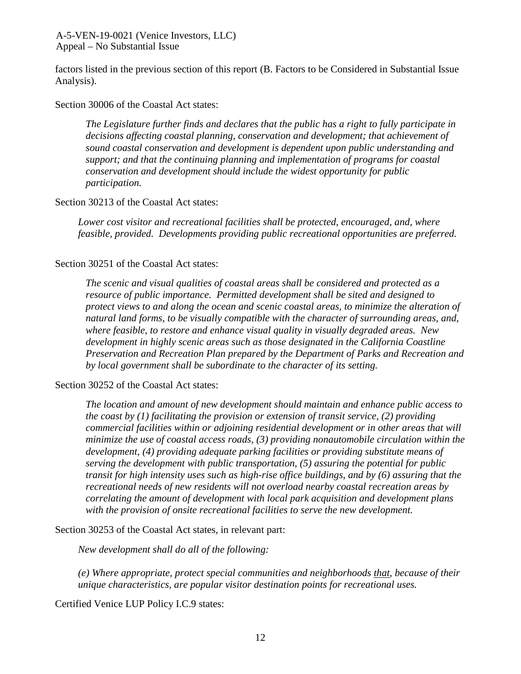factors listed in the previous section of this report (B. Factors to be Considered in Substantial Issue Analysis).

#### Section 30006 of the Coastal Act states:

*The Legislature further finds and declares that the public has a right to fully participate in decisions affecting coastal planning, conservation and development; that achievement of sound coastal conservation and development is dependent upon public understanding and support; and that the continuing planning and implementation of programs for coastal conservation and development should include the widest opportunity for public participation.*

#### Section 30213 of the Coastal Act states:

*Lower cost visitor and recreational facilities shall be protected, encouraged, and, where feasible, provided. Developments providing public recreational opportunities are preferred.*

#### Section 30251 of the Coastal Act states:

*The scenic and visual qualities of coastal areas shall be considered and protected as a resource of public importance. Permitted development shall be sited and designed to protect views to and along the ocean and scenic coastal areas, to minimize the alteration of natural land forms, to be visually compatible with the character of surrounding areas, and, where feasible, to restore and enhance visual quality in visually degraded areas. New development in highly scenic areas such as those designated in the California Coastline Preservation and Recreation Plan prepared by the Department of Parks and Recreation and by local government shall be subordinate to the character of its setting.*

#### Section 30252 of the Coastal Act states:

*The location and amount of new development should maintain and enhance public access to the coast by (1) facilitating the provision or extension of transit service, (2) providing commercial facilities within or adjoining residential development or in other areas that will minimize the use of coastal access roads, (3) providing nonautomobile circulation within the development, (4) providing adequate parking facilities or providing substitute means of serving the development with public transportation, (5) assuring the potential for public transit for high intensity uses such as high-rise office buildings, and by (6) assuring that the recreational needs of new residents will not overload nearby coastal recreation areas by correlating the amount of development with local park acquisition and development plans with the provision of onsite recreational facilities to serve the new development.*

Section 30253 of the Coastal Act states, in relevant part:

*New development shall do all of the following:*

*(e) Where appropriate, protect special communities and neighborhoods that, because of their unique characteristics, are popular visitor destination points for recreational uses.*

Certified Venice LUP Policy I.C.9 states: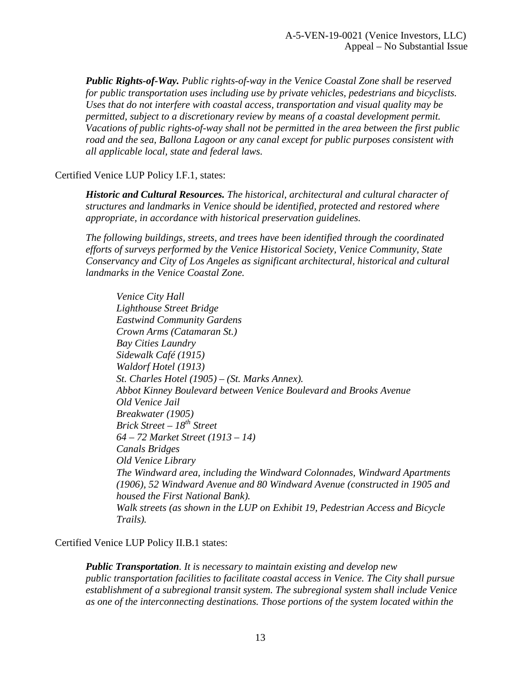*Public Rights-of-Way. Public rights-of-way in the Venice Coastal Zone shall be reserved for public transportation uses including use by private vehicles, pedestrians and bicyclists. Uses that do not interfere with coastal access, transportation and visual quality may be permitted, subject to a discretionary review by means of a coastal development permit. Vacations of public rights-of-way shall not be permitted in the area between the first public road and the sea, Ballona Lagoon or any canal except for public purposes consistent with all applicable local, state and federal laws.*

### Certified Venice LUP Policy I.F.1, states:

*Historic and Cultural Resources. The historical, architectural and cultural character of structures and landmarks in Venice should be identified, protected and restored where appropriate, in accordance with historical preservation guidelines.* 

*The following buildings, streets, and trees have been identified through the coordinated efforts of surveys performed by the Venice Historical Society, Venice Community, State Conservancy and City of Los Angeles as significant architectural, historical and cultural landmarks in the Venice Coastal Zone.* 

*Venice City Hall Lighthouse Street Bridge Eastwind Community Gardens Crown Arms (Catamaran St.) Bay Cities Laundry Sidewalk Café (1915) Waldorf Hotel (1913) St. Charles Hotel (1905) – (St. Marks Annex). Abbot Kinney Boulevard between Venice Boulevard and Brooks Avenue Old Venice Jail Breakwater (1905) Brick Street – 18th Street 64 – 72 Market Street (1913 – 14) Canals Bridges Old Venice Library The Windward area, including the Windward Colonnades, Windward Apartments (1906), 52 Windward Avenue and 80 Windward Avenue (constructed in 1905 and housed the First National Bank). Walk streets (as shown in the LUP on Exhibit 19, Pedestrian Access and Bicycle Trails).* 

Certified Venice LUP Policy II.B.1 states:

*Public Transportation. It is necessary to maintain existing and develop new public transportation facilities to facilitate coastal access in Venice. The City shall pursue establishment of a subregional transit system. The subregional system shall include Venice as one of the interconnecting destinations. Those portions of the system located within the*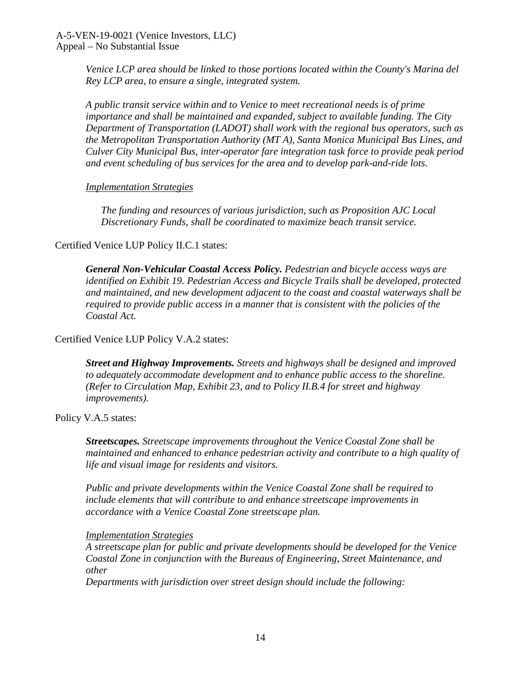*Venice LCP area should be linked to those portions located within the County's Marina del Rey LCP area, to ensure a single, integrated system.* 

*A public transit service within and to Venice to meet recreational needs is of prime importance and shall be maintained and expanded, subject to available funding. The City Department of Transportation (LADOT) shall work with the regional bus operators, such as the Metropolitan Transportation Authority (MT A), Santa Monica Municipal Bus Lines, and Culver City Municipal Bus, inter-operator fare integration task force to provide peak period and event scheduling of bus services for the area and to develop park-and-ride lots.*

#### *Implementation Strategies*

*The funding and resources of various jurisdiction, such as Proposition AJC Local Discretionary Funds, shall be coordinated to maximize beach transit service.*

#### Certified Venice LUP Policy II.C.1 states:

*General Non-Vehicular Coastal Access Policy. Pedestrian and bicycle access ways are identified on Exhibit 19. Pedestrian Access and Bicycle Trails shall be developed, protected and maintained, and new development adjacent to the coast and coastal waterways shall be required to provide public access in a manner that is consistent with the policies of the Coastal Act.*

#### Certified Venice LUP Policy V.A.2 states:

*Street and Highway Improvements. Streets and highways shall be designed and improved to adequately accommodate development and to enhance public access to the shoreline. (Refer to Circulation Map, Exhibit 23, and to Policy II.B.4 for street and highway improvements).*

#### Policy V.A.5 states:

*Streetscapes. Streetscape improvements throughout the Venice Coastal Zone shall be maintained and enhanced to enhance pedestrian activity and contribute to a high quality of life and visual image for residents and visitors.* 

*Public and private developments within the Venice Coastal Zone shall be required to include elements that will contribute to and enhance streetscape improvements in accordance with a Venice Coastal Zone streetscape plan.*

#### *Implementation Strategies*

*A streetscape plan for public and private developments should be developed for the Venice Coastal Zone in conjunction with the Bureaus of Engineering, Street Maintenance, and other*

*Departments with jurisdiction over street design should include the following:*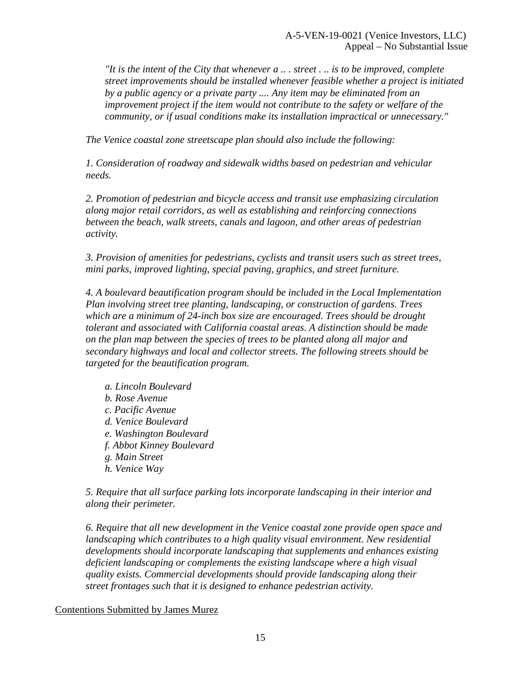*"It is the intent of the City that whenever a .. . street . .. is to be improved, complete street improvements should be installed whenever feasible whether a project is initiated by a public agency or a private party .... Any item may be eliminated from an improvement project if the item would not contribute to the safety or welfare of the community, or if usual conditions make its installation impractical or unnecessary."*

*The Venice coastal zone streetscape plan should also include the following:*

*1. Consideration of roadway and sidewalk widths based on pedestrian and vehicular needs.*

*2. Promotion of pedestrian and bicycle access and transit use emphasizing circulation along major retail corridors, as well as establishing and reinforcing connections between the beach, walk streets, canals and lagoon, and other areas of pedestrian activity.*

*3. Provision of amenities for pedestrians, cyclists and transit users such as street trees, mini parks, improved lighting, special paving, graphics, and street furniture.*

*4. A boulevard beautification program should be included in the Local Implementation Plan involving street tree planting, landscaping, or construction of gardens. Trees which are a minimum of 24-inch box size are encouraged. Trees should be drought tolerant and associated with California coastal areas. A distinction should be made on the plan map between the species of trees to be planted along all major and secondary highways and local and collector streets. The following streets should be targeted for the beautification program.*

*a. Lincoln Boulevard b. Rose Avenue c. Pacific Avenue d. Venice Boulevard e. Washington Boulevard f. Abbot Kinney Boulevard g. Main Street h. Venice Way*

*5. Require that all surface parking lots incorporate landscaping in their interior and along their perimeter.*

*6. Require that all new development in the Venice coastal zone provide open space and landscaping which contributes to a high quality visual environment. New residential developments should incorporate landscaping that supplements and enhances existing deficient landscaping or complements the existing landscape where a high visual quality exists. Commercial developments should provide landscaping along their street frontages such that it is designed to enhance pedestrian activity.*

Contentions Submitted by James Murez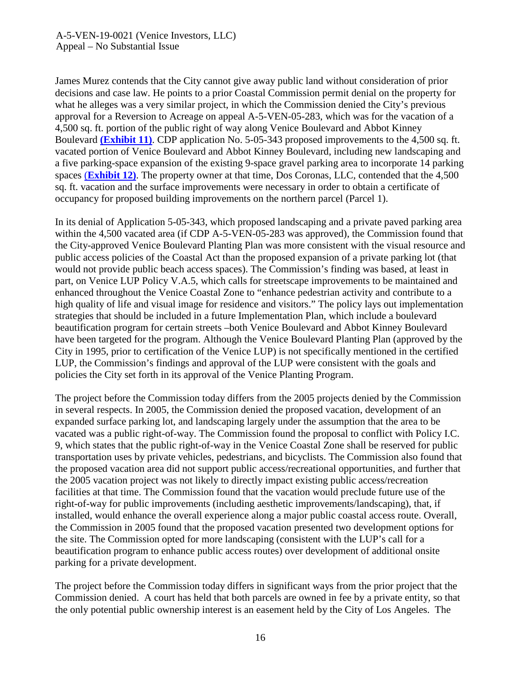James Murez contends that the City cannot give away public land without consideration of prior decisions and case law. He points to a prior Coastal Commission permit denial on the property for what he alleges was a very similar project, in which the Commission denied the City's previous approval for a Reversion to Acreage on appeal A-5-VEN-05-283, which was for the vacation of a 4,500 sq. ft. portion of the public right of way along Venice Boulevard and Abbot Kinney Boulevard **[\(Exhibit 11\)](https://documents.coastal.ca.gov/reports/2019/6/w11b/w11b-6-2019-exhibits.pdf)**. CDP application No. 5-05-343 proposed improvements to the 4,500 sq. ft. vacated portion of Venice Boulevard and Abbot Kinney Boulevard, including new landscaping and a five parking-space expansion of the existing 9-space gravel parking area to incorporate 14 parking spaces (**[Exhibit 12\)](https://documents.coastal.ca.gov/reports/2019/6/w11b/w11b-6-2019-exhibits.pdf)**. The property owner at that time, Dos Coronas, LLC, contended that the 4,500 sq. ft. vacation and the surface improvements were necessary in order to obtain a certificate of occupancy for proposed building improvements on the northern parcel (Parcel 1).

In its denial of Application 5-05-343, which proposed landscaping and a private paved parking area within the 4,500 vacated area (if CDP A-5-VEN-05-283 was approved), the Commission found that the City-approved Venice Boulevard Planting Plan was more consistent with the visual resource and public access policies of the Coastal Act than the proposed expansion of a private parking lot (that would not provide public beach access spaces). The Commission's finding was based, at least in part, on Venice LUP Policy V.A.5, which calls for streetscape improvements to be maintained and enhanced throughout the Venice Coastal Zone to "enhance pedestrian activity and contribute to a high quality of life and visual image for residence and visitors." The policy lays out implementation strategies that should be included in a future Implementation Plan, which include a boulevard beautification program for certain streets –both Venice Boulevard and Abbot Kinney Boulevard have been targeted for the program. Although the Venice Boulevard Planting Plan (approved by the City in 1995, prior to certification of the Venice LUP) is not specifically mentioned in the certified LUP, the Commission's findings and approval of the LUP were consistent with the goals and policies the City set forth in its approval of the Venice Planting Program.

The project before the Commission today differs from the 2005 projects denied by the Commission in several respects. In 2005, the Commission denied the proposed vacation, development of an expanded surface parking lot, and landscaping largely under the assumption that the area to be vacated was a public right-of-way. The Commission found the proposal to conflict with Policy I.C. 9, which states that the public right-of-way in the Venice Coastal Zone shall be reserved for public transportation uses by private vehicles, pedestrians, and bicyclists. The Commission also found that the proposed vacation area did not support public access/recreational opportunities, and further that the 2005 vacation project was not likely to directly impact existing public access/recreation facilities at that time. The Commission found that the vacation would preclude future use of the right-of-way for public improvements (including aesthetic improvements/landscaping), that, if installed, would enhance the overall experience along a major public coastal access route. Overall, the Commission in 2005 found that the proposed vacation presented two development options for the site. The Commission opted for more landscaping (consistent with the LUP's call for a beautification program to enhance public access routes) over development of additional onsite parking for a private development.

The project before the Commission today differs in significant ways from the prior project that the Commission denied. A court has held that both parcels are owned in fee by a private entity, so that the only potential public ownership interest is an easement held by the City of Los Angeles. The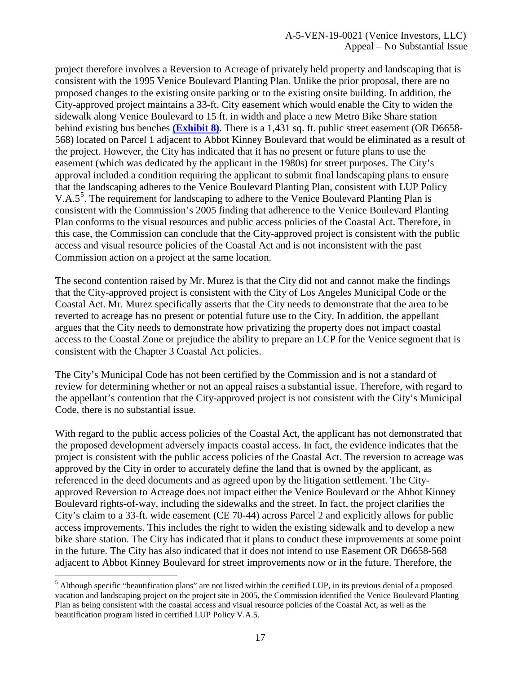project therefore involves a Reversion to Acreage of privately held property and landscaping that is consistent with the 1995 Venice Boulevard Planting Plan. Unlike the prior proposal, there are no proposed changes to the existing onsite parking or to the existing onsite building. In addition, the City-approved project maintains a 33-ft. City easement which would enable the City to widen the sidewalk along Venice Boulevard to 15 ft. in width and place a new Metro Bike Share station behind existing bus benches **[\(Exhibit 8\)](https://documents.coastal.ca.gov/reports/2019/6/w11b/w11b-6-2019-exhibits.pdf)**. There is a 1,431 sq. ft. public street easement (OR D6658- 568) located on Parcel 1 adjacent to Abbot Kinney Boulevard that would be eliminated as a result of the project. However, the City has indicated that it has no present or future plans to use the easement (which was dedicated by the applicant in the 1980s) for street purposes. The City's approval included a condition requiring the applicant to submit final landscaping plans to ensure that the landscaping adheres to the Venice Boulevard Planting Plan, consistent with LUP Policy V.A.[5](#page-16-0)<sup>5</sup>. The requirement for landscaping to adhere to the Venice Boulevard Planting Plan is consistent with the Commission's 2005 finding that adherence to the Venice Boulevard Planting Plan conforms to the visual resources and public access policies of the Coastal Act. Therefore, in this case, the Commission can conclude that the City-approved project is consistent with the public access and visual resource policies of the Coastal Act and is not inconsistent with the past Commission action on a project at the same location.

The second contention raised by Mr. Murez is that the City did not and cannot make the findings that the City-approved project is consistent with the City of Los Angeles Municipal Code or the Coastal Act. Mr. Murez specifically asserts that the City needs to demonstrate that the area to be reverted to acreage has no present or potential future use to the City. In addition, the appellant argues that the City needs to demonstrate how privatizing the property does not impact coastal access to the Coastal Zone or prejudice the ability to prepare an LCP for the Venice segment that is consistent with the Chapter 3 Coastal Act policies.

The City's Municipal Code has not been certified by the Commission and is not a standard of review for determining whether or not an appeal raises a substantial issue. Therefore, with regard to the appellant's contention that the City-approved project is not consistent with the City's Municipal Code, there is no substantial issue.

With regard to the public access policies of the Coastal Act, the applicant has not demonstrated that the proposed development adversely impacts coastal access. In fact, the evidence indicates that the project is consistent with the public access policies of the Coastal Act. The reversion to acreage was approved by the City in order to accurately define the land that is owned by the applicant, as referenced in the deed documents and as agreed upon by the litigation settlement. The Cityapproved Reversion to Acreage does not impact either the Venice Boulevard or the Abbot Kinney Boulevard rights-of-way, including the sidewalks and the street. In fact, the project clarifies the City's claim to a 33-ft. wide easement (CE 70-44) across Parcel 2 and explicitly allows for public access improvements. This includes the right to widen the existing sidewalk and to develop a new bike share station. The City has indicated that it plans to conduct these improvements at some point in the future. The City has also indicated that it does not intend to use Easement OR D6658-568 adjacent to Abbot Kinney Boulevard for street improvements now or in the future. Therefore, the

<span id="page-16-0"></span><sup>&</sup>lt;sup>5</sup> Although specific "beautification plans" are not listed within the certified LUP, in its previous denial of a proposed vacation and landscaping project on the project site in 2005, the Commission identified the Venice Boulevard Planting Plan as being consistent with the coastal access and visual resource policies of the Coastal Act, as well as the beautification program listed in certified LUP Policy V.A.5.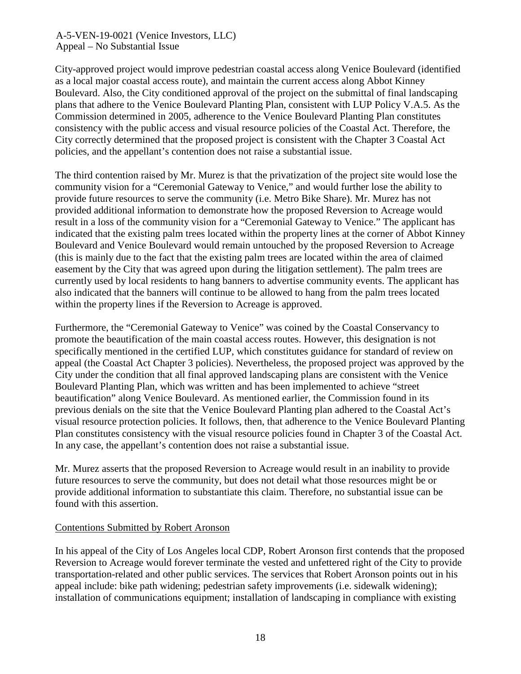City-approved project would improve pedestrian coastal access along Venice Boulevard (identified as a local major coastal access route), and maintain the current access along Abbot Kinney Boulevard. Also, the City conditioned approval of the project on the submittal of final landscaping plans that adhere to the Venice Boulevard Planting Plan, consistent with LUP Policy V.A.5. As the Commission determined in 2005, adherence to the Venice Boulevard Planting Plan constitutes consistency with the public access and visual resource policies of the Coastal Act. Therefore, the City correctly determined that the proposed project is consistent with the Chapter 3 Coastal Act policies, and the appellant's contention does not raise a substantial issue.

The third contention raised by Mr. Murez is that the privatization of the project site would lose the community vision for a "Ceremonial Gateway to Venice," and would further lose the ability to provide future resources to serve the community (i.e. Metro Bike Share). Mr. Murez has not provided additional information to demonstrate how the proposed Reversion to Acreage would result in a loss of the community vision for a "Ceremonial Gateway to Venice." The applicant has indicated that the existing palm trees located within the property lines at the corner of Abbot Kinney Boulevard and Venice Boulevard would remain untouched by the proposed Reversion to Acreage (this is mainly due to the fact that the existing palm trees are located within the area of claimed easement by the City that was agreed upon during the litigation settlement). The palm trees are currently used by local residents to hang banners to advertise community events. The applicant has also indicated that the banners will continue to be allowed to hang from the palm trees located within the property lines if the Reversion to Acreage is approved.

Furthermore, the "Ceremonial Gateway to Venice" was coined by the Coastal Conservancy to promote the beautification of the main coastal access routes. However, this designation is not specifically mentioned in the certified LUP, which constitutes guidance for standard of review on appeal (the Coastal Act Chapter 3 policies). Nevertheless, the proposed project was approved by the City under the condition that all final approved landscaping plans are consistent with the Venice Boulevard Planting Plan, which was written and has been implemented to achieve "street beautification" along Venice Boulevard. As mentioned earlier, the Commission found in its previous denials on the site that the Venice Boulevard Planting plan adhered to the Coastal Act's visual resource protection policies. It follows, then, that adherence to the Venice Boulevard Planting Plan constitutes consistency with the visual resource policies found in Chapter 3 of the Coastal Act. In any case, the appellant's contention does not raise a substantial issue.

Mr. Murez asserts that the proposed Reversion to Acreage would result in an inability to provide future resources to serve the community, but does not detail what those resources might be or provide additional information to substantiate this claim. Therefore, no substantial issue can be found with this assertion.

#### Contentions Submitted by Robert Aronson

In his appeal of the City of Los Angeles local CDP, Robert Aronson first contends that the proposed Reversion to Acreage would forever terminate the vested and unfettered right of the City to provide transportation-related and other public services. The services that Robert Aronson points out in his appeal include: bike path widening; pedestrian safety improvements (i.e. sidewalk widening); installation of communications equipment; installation of landscaping in compliance with existing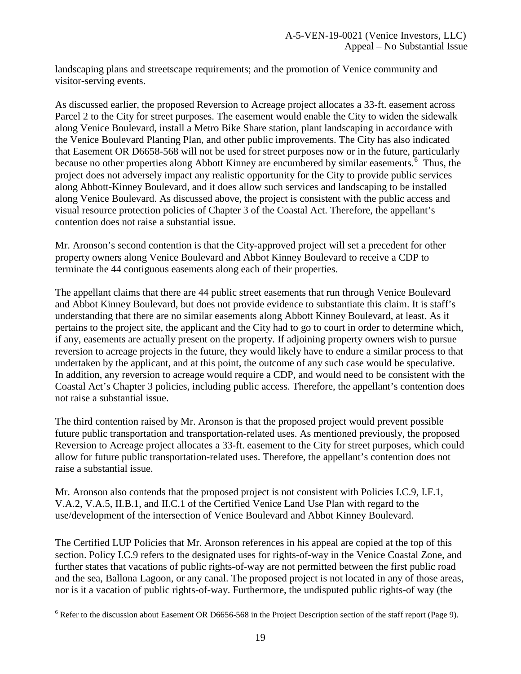landscaping plans and streetscape requirements; and the promotion of Venice community and visitor-serving events.

As discussed earlier, the proposed Reversion to Acreage project allocates a 33-ft. easement across Parcel 2 to the City for street purposes. The easement would enable the City to widen the sidewalk along Venice Boulevard, install a Metro Bike Share station, plant landscaping in accordance with the Venice Boulevard Planting Plan, and other public improvements. The City has also indicated that Easement OR D6658-568 will not be used for street purposes now or in the future, particularly because no other properties along Abbott Kinney are encumbered by similar easements.<sup>[6](#page-18-0)</sup> Thus, the project does not adversely impact any realistic opportunity for the City to provide public services along Abbott-Kinney Boulevard, and it does allow such services and landscaping to be installed along Venice Boulevard. As discussed above, the project is consistent with the public access and visual resource protection policies of Chapter 3 of the Coastal Act. Therefore, the appellant's contention does not raise a substantial issue.

Mr. Aronson's second contention is that the City-approved project will set a precedent for other property owners along Venice Boulevard and Abbot Kinney Boulevard to receive a CDP to terminate the 44 contiguous easements along each of their properties.

The appellant claims that there are 44 public street easements that run through Venice Boulevard and Abbot Kinney Boulevard, but does not provide evidence to substantiate this claim. It is staff's understanding that there are no similar easements along Abbott Kinney Boulevard, at least. As it pertains to the project site, the applicant and the City had to go to court in order to determine which, if any, easements are actually present on the property. If adjoining property owners wish to pursue reversion to acreage projects in the future, they would likely have to endure a similar process to that undertaken by the applicant, and at this point, the outcome of any such case would be speculative. In addition, any reversion to acreage would require a CDP, and would need to be consistent with the Coastal Act's Chapter 3 policies, including public access. Therefore, the appellant's contention does not raise a substantial issue.

The third contention raised by Mr. Aronson is that the proposed project would prevent possible future public transportation and transportation-related uses. As mentioned previously, the proposed Reversion to Acreage project allocates a 33-ft. easement to the City for street purposes, which could allow for future public transportation-related uses. Therefore, the appellant's contention does not raise a substantial issue.

Mr. Aronson also contends that the proposed project is not consistent with Policies I.C.9, I.F.1, V.A.2, V.A.5, II.B.1, and II.C.1 of the Certified Venice Land Use Plan with regard to the use/development of the intersection of Venice Boulevard and Abbot Kinney Boulevard.

The Certified LUP Policies that Mr. Aronson references in his appeal are copied at the top of this section. Policy I.C.9 refers to the designated uses for rights-of-way in the Venice Coastal Zone, and further states that vacations of public rights-of-way are not permitted between the first public road and the sea, Ballona Lagoon, or any canal. The proposed project is not located in any of those areas, nor is it a vacation of public rights-of-way. Furthermore, the undisputed public rights-of way (the

<span id="page-18-0"></span><sup>&</sup>lt;sup>6</sup> Refer to the discussion about Easement OR D6656-568 in the Project Description section of the staff report (Page 9).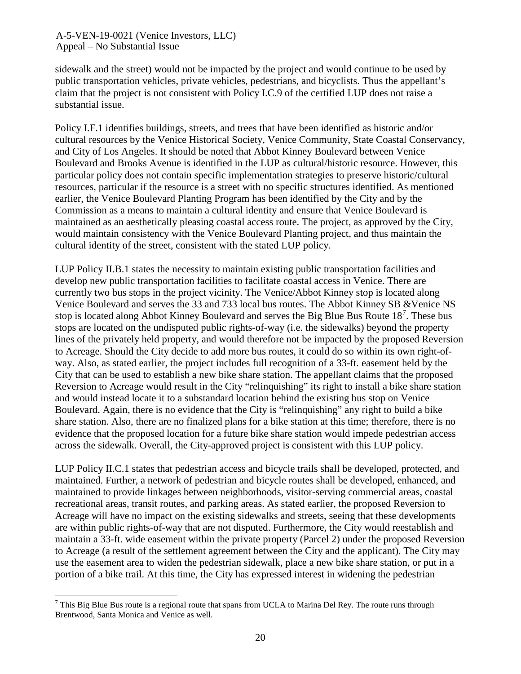sidewalk and the street) would not be impacted by the project and would continue to be used by public transportation vehicles, private vehicles, pedestrians, and bicyclists. Thus the appellant's claim that the project is not consistent with Policy I.C.9 of the certified LUP does not raise a substantial issue.

Policy I.F.1 identifies buildings, streets, and trees that have been identified as historic and/or cultural resources by the Venice Historical Society, Venice Community, State Coastal Conservancy, and City of Los Angeles. It should be noted that Abbot Kinney Boulevard between Venice Boulevard and Brooks Avenue is identified in the LUP as cultural/historic resource. However, this particular policy does not contain specific implementation strategies to preserve historic/cultural resources, particular if the resource is a street with no specific structures identified. As mentioned earlier, the Venice Boulevard Planting Program has been identified by the City and by the Commission as a means to maintain a cultural identity and ensure that Venice Boulevard is maintained as an aesthetically pleasing coastal access route. The project, as approved by the City, would maintain consistency with the Venice Boulevard Planting project, and thus maintain the cultural identity of the street, consistent with the stated LUP policy.

LUP Policy II.B.1 states the necessity to maintain existing public transportation facilities and develop new public transportation facilities to facilitate coastal access in Venice. There are currently two bus stops in the project vicinity. The Venice/Abbot Kinney stop is located along Venice Boulevard and serves the 33 and 733 local bus routes. The Abbot Kinney SB &Venice NS stop is located along Abbot Kinney Boulevard and serves the Big Blue Bus Route  $18<sup>7</sup>$  $18<sup>7</sup>$  $18<sup>7</sup>$ . These bus stops are located on the undisputed public rights-of-way (i.e. the sidewalks) beyond the property lines of the privately held property, and would therefore not be impacted by the proposed Reversion to Acreage. Should the City decide to add more bus routes, it could do so within its own right-ofway. Also, as stated earlier, the project includes full recognition of a 33-ft. easement held by the City that can be used to establish a new bike share station. The appellant claims that the proposed Reversion to Acreage would result in the City "relinquishing" its right to install a bike share station and would instead locate it to a substandard location behind the existing bus stop on Venice Boulevard. Again, there is no evidence that the City is "relinquishing" any right to build a bike share station. Also, there are no finalized plans for a bike station at this time; therefore, there is no evidence that the proposed location for a future bike share station would impede pedestrian access across the sidewalk. Overall, the City-approved project is consistent with this LUP policy.

LUP Policy II.C.1 states that pedestrian access and bicycle trails shall be developed, protected, and maintained. Further, a network of pedestrian and bicycle routes shall be developed, enhanced, and maintained to provide linkages between neighborhoods, visitor-serving commercial areas, coastal recreational areas, transit routes, and parking areas. As stated earlier, the proposed Reversion to Acreage will have no impact on the existing sidewalks and streets, seeing that these developments are within public rights-of-way that are not disputed. Furthermore, the City would reestablish and maintain a 33-ft. wide easement within the private property (Parcel 2) under the proposed Reversion to Acreage (a result of the settlement agreement between the City and the applicant). The City may use the easement area to widen the pedestrian sidewalk, place a new bike share station, or put in a portion of a bike trail. At this time, the City has expressed interest in widening the pedestrian

<span id="page-19-0"></span> $7$  This Big Blue Bus route is a regional route that spans from UCLA to Marina Del Rey. The route runs through Brentwood, Santa Monica and Venice as well.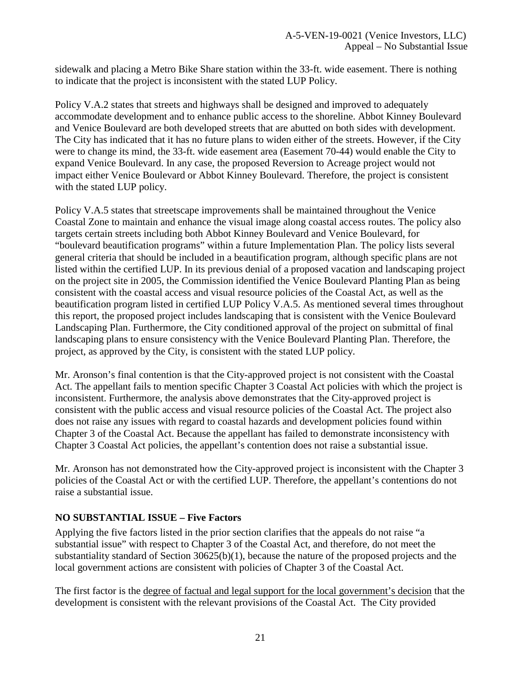sidewalk and placing a Metro Bike Share station within the 33-ft. wide easement. There is nothing to indicate that the project is inconsistent with the stated LUP Policy.

Policy V.A.2 states that streets and highways shall be designed and improved to adequately accommodate development and to enhance public access to the shoreline. Abbot Kinney Boulevard and Venice Boulevard are both developed streets that are abutted on both sides with development. The City has indicated that it has no future plans to widen either of the streets. However, if the City were to change its mind, the 33-ft. wide easement area (Easement 70-44) would enable the City to expand Venice Boulevard. In any case, the proposed Reversion to Acreage project would not impact either Venice Boulevard or Abbot Kinney Boulevard. Therefore, the project is consistent with the stated LUP policy.

Policy V.A.5 states that streetscape improvements shall be maintained throughout the Venice Coastal Zone to maintain and enhance the visual image along coastal access routes. The policy also targets certain streets including both Abbot Kinney Boulevard and Venice Boulevard, for "boulevard beautification programs" within a future Implementation Plan. The policy lists several general criteria that should be included in a beautification program, although specific plans are not listed within the certified LUP. In its previous denial of a proposed vacation and landscaping project on the project site in 2005, the Commission identified the Venice Boulevard Planting Plan as being consistent with the coastal access and visual resource policies of the Coastal Act, as well as the beautification program listed in certified LUP Policy V.A.5. As mentioned several times throughout this report, the proposed project includes landscaping that is consistent with the Venice Boulevard Landscaping Plan. Furthermore, the City conditioned approval of the project on submittal of final landscaping plans to ensure consistency with the Venice Boulevard Planting Plan. Therefore, the project, as approved by the City, is consistent with the stated LUP policy.

Mr. Aronson's final contention is that the City-approved project is not consistent with the Coastal Act. The appellant fails to mention specific Chapter 3 Coastal Act policies with which the project is inconsistent. Furthermore, the analysis above demonstrates that the City-approved project is consistent with the public access and visual resource policies of the Coastal Act. The project also does not raise any issues with regard to coastal hazards and development policies found within Chapter 3 of the Coastal Act. Because the appellant has failed to demonstrate inconsistency with Chapter 3 Coastal Act policies, the appellant's contention does not raise a substantial issue.

Mr. Aronson has not demonstrated how the City-approved project is inconsistent with the Chapter 3 policies of the Coastal Act or with the certified LUP. Therefore, the appellant's contentions do not raise a substantial issue.

### **NO SUBSTANTIAL ISSUE – Five Factors**

Applying the five factors listed in the prior section clarifies that the appeals do not raise "a substantial issue" with respect to Chapter 3 of the Coastal Act, and therefore, do not meet the substantiality standard of Section  $30625(b)(1)$ , because the nature of the proposed projects and the local government actions are consistent with policies of Chapter 3 of the Coastal Act.

The first factor is the degree of factual and legal support for the local government's decision that the development is consistent with the relevant provisions of the Coastal Act. The City provided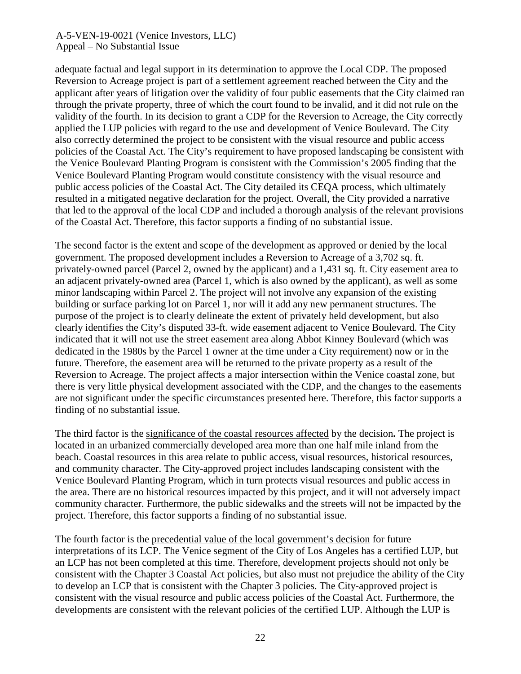adequate factual and legal support in its determination to approve the Local CDP. The proposed Reversion to Acreage project is part of a settlement agreement reached between the City and the applicant after years of litigation over the validity of four public easements that the City claimed ran through the private property, three of which the court found to be invalid, and it did not rule on the validity of the fourth. In its decision to grant a CDP for the Reversion to Acreage, the City correctly applied the LUP policies with regard to the use and development of Venice Boulevard. The City also correctly determined the project to be consistent with the visual resource and public access policies of the Coastal Act. The City's requirement to have proposed landscaping be consistent with the Venice Boulevard Planting Program is consistent with the Commission's 2005 finding that the Venice Boulevard Planting Program would constitute consistency with the visual resource and public access policies of the Coastal Act. The City detailed its CEQA process, which ultimately resulted in a mitigated negative declaration for the project. Overall, the City provided a narrative that led to the approval of the local CDP and included a thorough analysis of the relevant provisions of the Coastal Act. Therefore, this factor supports a finding of no substantial issue.

The second factor is the extent and scope of the development as approved or denied by the local government. The proposed development includes a Reversion to Acreage of a 3,702 sq. ft. privately-owned parcel (Parcel 2, owned by the applicant) and a 1,431 sq. ft. City easement area to an adjacent privately-owned area (Parcel 1, which is also owned by the applicant), as well as some minor landscaping within Parcel 2. The project will not involve any expansion of the existing building or surface parking lot on Parcel 1, nor will it add any new permanent structures. The purpose of the project is to clearly delineate the extent of privately held development, but also clearly identifies the City's disputed 33-ft. wide easement adjacent to Venice Boulevard. The City indicated that it will not use the street easement area along Abbot Kinney Boulevard (which was dedicated in the 1980s by the Parcel 1 owner at the time under a City requirement) now or in the future. Therefore, the easement area will be returned to the private property as a result of the Reversion to Acreage. The project affects a major intersection within the Venice coastal zone, but there is very little physical development associated with the CDP, and the changes to the easements are not significant under the specific circumstances presented here. Therefore, this factor supports a finding of no substantial issue.

The third factor is the significance of the coastal resources affected by the decision**.** The project is located in an urbanized commercially developed area more than one half mile inland from the beach. Coastal resources in this area relate to public access, visual resources, historical resources, and community character. The City-approved project includes landscaping consistent with the Venice Boulevard Planting Program, which in turn protects visual resources and public access in the area. There are no historical resources impacted by this project, and it will not adversely impact community character. Furthermore, the public sidewalks and the streets will not be impacted by the project. Therefore, this factor supports a finding of no substantial issue.

The fourth factor is the precedential value of the local government's decision for future interpretations of its LCP. The Venice segment of the City of Los Angeles has a certified LUP, but an LCP has not been completed at this time. Therefore, development projects should not only be consistent with the Chapter 3 Coastal Act policies, but also must not prejudice the ability of the City to develop an LCP that is consistent with the Chapter 3 policies. The City-approved project is consistent with the visual resource and public access policies of the Coastal Act. Furthermore, the developments are consistent with the relevant policies of the certified LUP. Although the LUP is